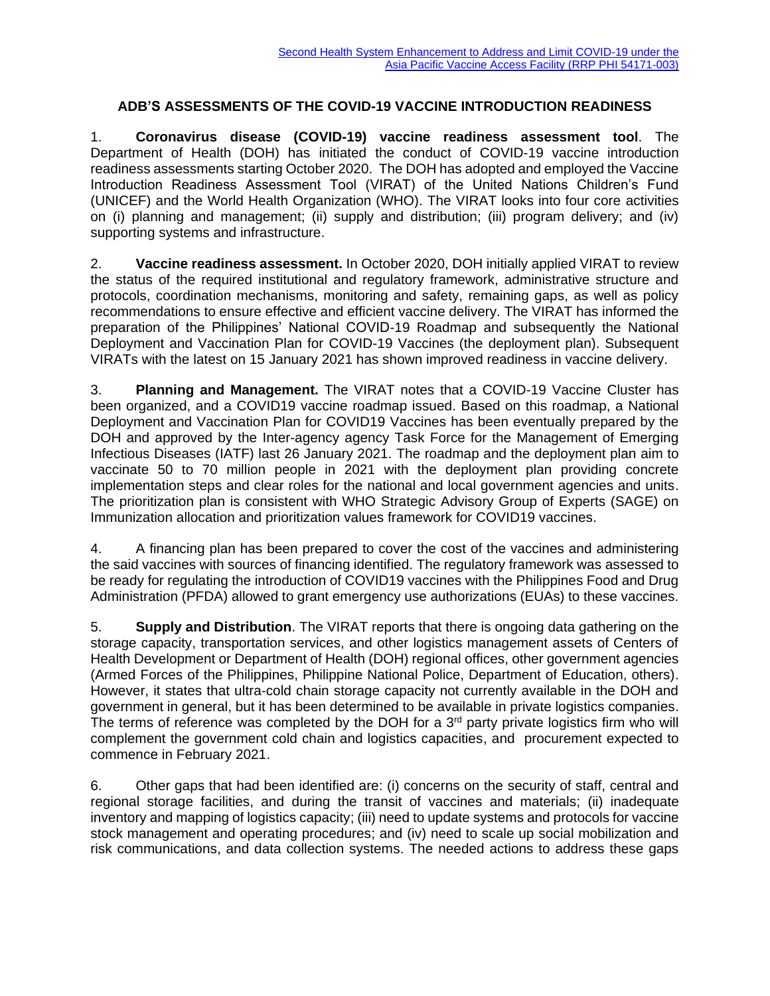## **ADB'S ASSESSMENTS OF THE COVID-19 VACCINE INTRODUCTION READINESS**

1. **Coronavirus disease (COVID-19) vaccine readiness assessment tool**. The Department of Health (DOH) has initiated the conduct of COVID-19 vaccine introduction readiness assessments starting October 2020. The DOH has adopted and employed the Vaccine Introduction Readiness Assessment Tool (VIRAT) of the United Nations Children's Fund (UNICEF) and the World Health Organization (WHO). The VIRAT looks into four core activities on (i) planning and management; (ii) supply and distribution; (iii) program delivery; and (iv) supporting systems and infrastructure.

2. **Vaccine readiness assessment.** In October 2020, DOH initially applied VIRAT to review the status of the required institutional and regulatory framework, administrative structure and protocols, coordination mechanisms, monitoring and safety, remaining gaps, as well as policy recommendations to ensure effective and efficient vaccine delivery. The VIRAT has informed the preparation of the Philippines' National COVID-19 Roadmap and subsequently the National Deployment and Vaccination Plan for COVID-19 Vaccines (the deployment plan). Subsequent VIRATs with the latest on 15 January 2021 has shown improved readiness in vaccine delivery.

3. **Planning and Management.** The VIRAT notes that a COVID-19 Vaccine Cluster has been organized, and a COVID19 vaccine roadmap issued. Based on this roadmap, a National Deployment and Vaccination Plan for COVID19 Vaccines has been eventually prepared by the DOH and approved by the Inter-agency agency Task Force for the Management of Emerging Infectious Diseases (IATF) last 26 January 2021. The roadmap and the deployment plan aim to vaccinate 50 to 70 million people in 2021 with the deployment plan providing concrete implementation steps and clear roles for the national and local government agencies and units. The prioritization plan is consistent with WHO Strategic Advisory Group of Experts (SAGE) on Immunization allocation and prioritization values framework for COVID19 vaccines.

4. A financing plan has been prepared to cover the cost of the vaccines and administering the said vaccines with sources of financing identified. The regulatory framework was assessed to be ready for regulating the introduction of COVID19 vaccines with the Philippines Food and Drug Administration (PFDA) allowed to grant emergency use authorizations (EUAs) to these vaccines.

5. **Supply and Distribution**. The VIRAT reports that there is ongoing data gathering on the storage capacity, transportation services, and other logistics management assets of Centers of Health Development or Department of Health (DOH) regional offices, other government agencies (Armed Forces of the Philippines, Philippine National Police, Department of Education, others). However, it states that ultra-cold chain storage capacity not currently available in the DOH and government in general, but it has been determined to be available in private logistics companies. The terms of reference was completed by the DOH for a  $3<sup>rd</sup>$  party private logistics firm who will complement the government cold chain and logistics capacities, and procurement expected to commence in February 2021.

6. Other gaps that had been identified are: (i) concerns on the security of staff, central and regional storage facilities, and during the transit of vaccines and materials; (ii) inadequate inventory and mapping of logistics capacity; (iii) need to update systems and protocols for vaccine stock management and operating procedures; and (iv) need to scale up social mobilization and risk communications, and data collection systems. The needed actions to address these gaps